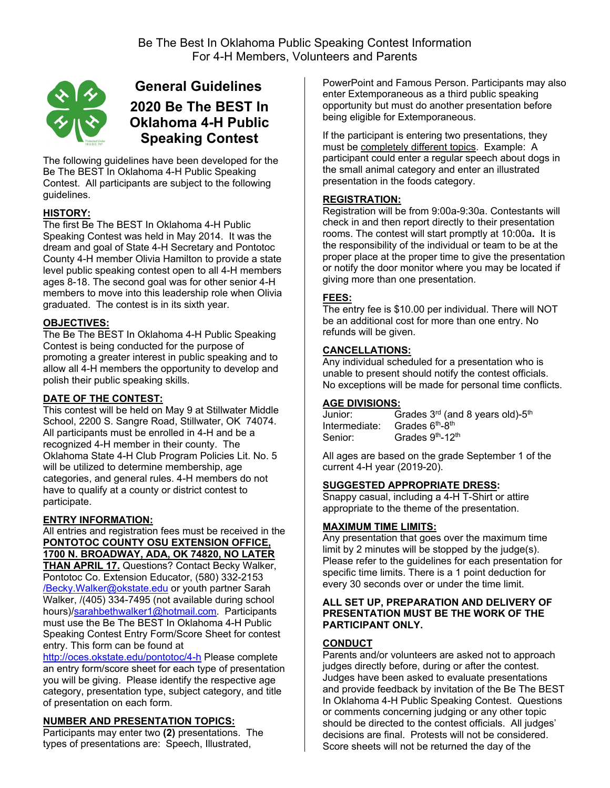

# **General Guidelines 2020 Be The BEST In Oklahoma 4-H Public Speaking Contest**

The following guidelines have been developed for the Be The BEST In Oklahoma 4-H Public Speaking Contest. All participants are subject to the following guidelines.

# **HISTORY:**

The first Be The BEST In Oklahoma 4-H Public Speaking Contest was held in May 2014. It was the dream and goal of State 4-H Secretary and Pontotoc County 4-H member Olivia Hamilton to provide a state level public speaking contest open to all 4-H members ages 8-18. The second goal was for other senior 4-H members to move into this leadership role when Olivia graduated. The contest is in its sixth year.

## **OBJECTIVES:**

The Be The BEST In Oklahoma 4-H Public Speaking Contest is being conducted for the purpose of promoting a greater interest in public speaking and to allow all 4-H members the opportunity to develop and polish their public speaking skills.

## **DATE OF THE CONTEST:**

This contest will be held on May 9 at Stillwater Middle School, 2200 S. Sangre Road, Stillwater, OK 74074. All participants must be enrolled in 4-H and be a recognized 4-H member in their county. The Oklahoma State 4-H Club Program Policies Lit. No. 5 will be utilized to determine membership, age categories, and general rules. 4-H members do not have to qualify at a county or district contest to participate.

## **ENTRY INFORMATION:**

All entries and registration fees must be received in the **PONTOTOC COUNTY OSU EXTENSION OFFICE, 1700 N. BROADWAY, ADA, OK 74820, NO LATER THAN APRIL 17.** Questions? Contact Becky Walker, Pontotoc Co. Extension Educator, (580) 332-2153 /Becky.Walker@okstate.edu or youth partner Sarah Walker, /(405) 334-7495 (not available during school hours)/sarahbethwalker1@hotmail.com. Participants must use the Be The BEST In Oklahoma 4-H Public Speaking Contest Entry Form/Score Sheet for contest entry. This form can be found at

http://oces.okstate.edu/pontotoc/4-h Please complete an entry form/score sheet for each type of presentation you will be giving.Please identify the respective age category, presentation type, subject category, and title of presentation on each form.

## **NUMBER AND PRESENTATION TOPICS:**

Participants may enter two **(2)** presentations. The types of presentations are: Speech, Illustrated,

PowerPoint and Famous Person. Participants may also enter Extemporaneous as a third public speaking opportunity but must do another presentation before being eligible for Extemporaneous.

If the participant is entering two presentations, they must be completely different topics. Example: A participant could enter a regular speech about dogs in the small animal category and enter an illustrated presentation in the foods category.

## **REGISTRATION:**

Registration will be from 9:00a-9:30a. Contestants will check in and then report directly to their presentation rooms. The contest will start promptly at 10:00a**.** It is the responsibility of the individual or team to be at the proper place at the proper time to give the presentation or notify the door monitor where you may be located if giving more than one presentation.

## **FEES:**

The entry fee is \$10.00 per individual. There will NOT be an additional cost for more than one entry. No refunds will be given.

#### **CANCELLATIONS:**

Any individual scheduled for a presentation who is unable to present should notify the contest officials. No exceptions will be made for personal time conflicts.

#### **AGE DIVISIONS:**

Junior: Grades  $3<sup>rd</sup>$  (and 8 years old)- $5<sup>th</sup>$ Intermediate: Grades 6<sup>th</sup>-8<sup>th</sup><br>Senior: Grades 9<sup>th</sup>-12<sup>t</sup> Grades 9<sup>th</sup>-12<sup>th</sup>

All ages are based on the grade September 1 of the current 4-H year (2019-20).

#### **SUGGESTED APPROPRIATE DRESS:**

Snappy casual, including a 4-H T-Shirt or attire appropriate to the theme of the presentation.

#### **MAXIMUM TIME LIMITS:**

Any presentation that goes over the maximum time limit by 2 minutes will be stopped by the judge(s). Please refer to the guidelines for each presentation for specific time limits. There is a 1 point deduction for every 30 seconds over or under the time limit.

#### **ALL SET UP, PREPARATION AND DELIVERY OF PRESENTATION MUST BE THE WORK OF THE PARTICIPANT ONLY.**

#### **CONDUCT**

Parents and/or volunteers are asked not to approach judges directly before, during or after the contest. Judges have been asked to evaluate presentations and provide feedback by invitation of the Be The BEST In Oklahoma 4-H Public Speaking Contest. Questions or comments concerning judging or any other topic should be directed to the contest officials. All judges' decisions are final. Protests will not be considered. Score sheets will not be returned the day of the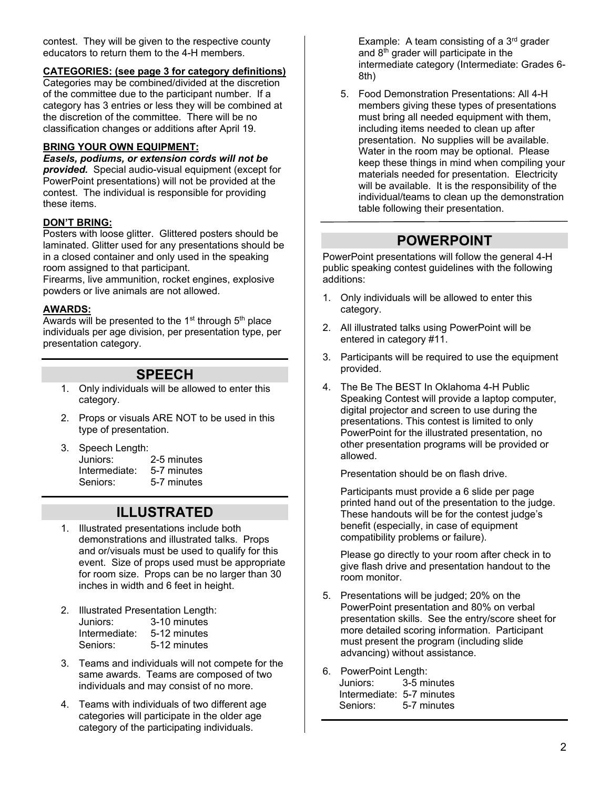contest. They will be given to the respective county educators to return them to the 4-H members.

#### **CATEGORIES: (see page 3 for category definitions)**

Categories may be combined/divided at the discretion of the committee due to the participant number. If a category has 3 entries or less they will be combined at the discretion of the committee. There will be no classification changes or additions after April 19.

### **BRING YOUR OWN EQUIPMENT:**

*Easels, podiums, or extension cords will not be provided.* Special audio-visual equipment (except for PowerPoint presentations) will not be provided at the contest. The individual is responsible for providing these items.

#### **DON'T BRING:**

Posters with loose glitter. Glittered posters should be laminated. Glitter used for any presentations should be in a closed container and only used in the speaking room assigned to that participant.

Firearms, live ammunition, rocket engines, explosive powders or live animals are not allowed.

#### **AWARDS:**

Awards will be presented to the  $1<sup>st</sup>$  through  $5<sup>th</sup>$  place individuals per age division, per presentation type, per presentation category.

# **SPEECH**

- 1. Only individuals will be allowed to enter this category.
- 2. Props or visuals ARE NOT to be used in this type of presentation.
- 3. Speech Length: Juniors: 2-5 minutes Intermediate: 5-7 minutes Seniors: 5-7 minutes

# **ILLUSTRATED**

- 1. Illustrated presentations include both demonstrations and illustrated talks. Props and or/visuals must be used to qualify for this event. Size of props used must be appropriate for room size. Props can be no larger than 30 inches in width and 6 feet in height.
- 2. Illustrated Presentation Length: Juniors: 3-10 minutes Intermediate: 5-12 minutes Seniors: 5-12 minutes
- 3. Teams and individuals will not compete for the same awards. Teams are composed of two individuals and may consist of no more.
- 4. Teams with individuals of two different age categories will participate in the older age category of the participating individuals.

Example: A team consisting of a  $3<sup>rd</sup>$  grader and  $8<sup>th</sup>$  grader will participate in the intermediate category (Intermediate: Grades 6- 8th)

5. Food Demonstration Presentations: All 4-H members giving these types of presentations must bring all needed equipment with them, including items needed to clean up after presentation. No supplies will be available. Water in the room may be optional. Please keep these things in mind when compiling your materials needed for presentation. Electricity will be available. It is the responsibility of the individual/teams to clean up the demonstration table following their presentation.

# **POWERPOINT**

PowerPoint presentations will follow the general 4-H public speaking contest guidelines with the following additions:

- 1. Only individuals will be allowed to enter this category.
- 2. All illustrated talks using PowerPoint will be entered in category #11.
- 3. Participants will be required to use the equipment provided.
- 4. The Be The BEST In Oklahoma 4-H Public Speaking Contest will provide a laptop computer, digital projector and screen to use during the presentations. This contest is limited to only PowerPoint for the illustrated presentation, no other presentation programs will be provided or allowed.

Presentation should be on flash drive.

Participants must provide a 6 slide per page printed hand out of the presentation to the judge. These handouts will be for the contest judge's benefit (especially, in case of equipment compatibility problems or failure).

Please go directly to your room after check in to give flash drive and presentation handout to the room monitor.

- 5. Presentations will be judged; 20% on the PowerPoint presentation and 80% on verbal presentation skills. See the entry/score sheet for more detailed scoring information. Participant must present the program (including slide advancing) without assistance.
- 6. PowerPoint Length: Juniors: 3-5 minutes Intermediate: 5-7 minutes Seniors: 5-7 minutes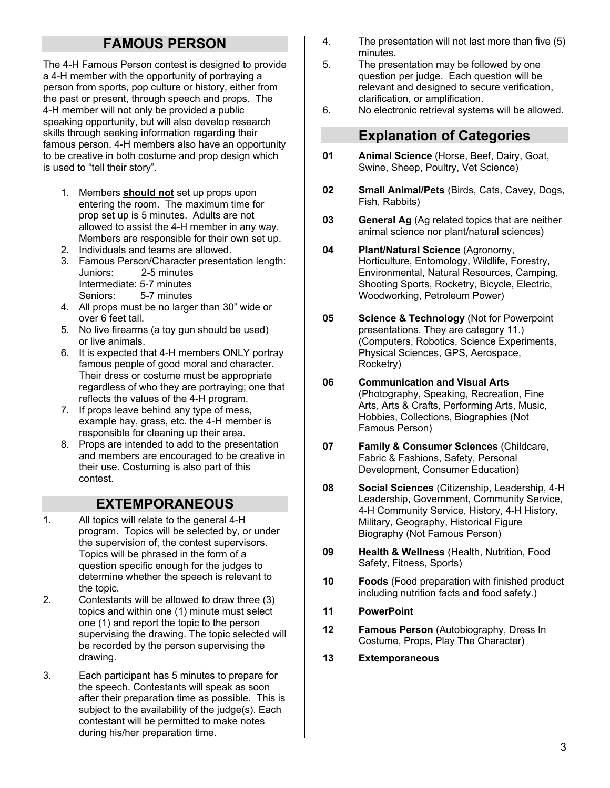# **FAMOUS PERSON**

The 4-H Famous Person contest is designed to provide a 4-H member with the opportunity of portraying a person from sports, pop culture or history, either from the past or present, through speech and props. The 4-H member will not only be provided a public speaking opportunity, but will also develop research skills through seeking information regarding their famous person. 4-H members also have an opportunity to be creative in both costume and prop design which is used to "tell their story".

- 1. Members **should not** set up props upon entering the room. The maximum time for prop set up is 5 minutes. Adults are not allowed to assist the 4-H member in any way. Members are responsible for their own set up.
- 2. Individuals and teams are allowed.
- 3. Famous Person/Character presentation length: Juniors: 2-5 minutes Intermediate: 5-7 minutes Seniors: 5-7 minutes
- 4. All props must be no larger than 30" wide or over 6 feet tall.
- 5. No live firearms (a toy gun should be used) or live animals.
- 6. It is expected that 4-H members ONLY portray famous people of good moral and character. Their dress or costume must be appropriate regardless of who they are portraying; one that reflects the values of the 4-H program.
- 7. If props leave behind any type of mess, example hay, grass, etc. the 4-H member is responsible for cleaning up their area.
- 8. Props are intended to add to the presentation and members are encouraged to be creative in their use. Costuming is also part of this contest.

# **EXTEMPORANEOUS**

- 1. All topics will relate to the general 4-H program. Topics will be selected by, or under the supervision of, the contest supervisors. Topics will be phrased in the form of a question specific enough for the judges to determine whether the speech is relevant to the topic.
- 2. Contestants will be allowed to draw three (3) topics and within one (1) minute must select one (1) and report the topic to the person supervising the drawing. The topic selected will be recorded by the person supervising the drawing.
- 3. Each participant has 5 minutes to prepare for the speech. Contestants will speak as soon after their preparation time as possible. This is subject to the availability of the judge(s). Each contestant will be permitted to make notes during his/her preparation time.
- 4. The presentation will not last more than five (5) minutes.
- 5*.* The presentation may be followed by one question per judge. Each question will be relevant and designed to secure verification, clarification, or amplification.
- 6. No electronic retrieval systems will be allowed.

# **Explanation of Categories**

- **01 Animal Science** (Horse, Beef, Dairy, Goat, Swine, Sheep, Poultry, Vet Science)
- **02 Small Animal/Pets** (Birds, Cats, Cavey, Dogs, Fish, Rabbits)
- **03 General Ag** (Ag related topics that are neither animal science nor plant/natural sciences)
- **04 Plant/Natural Science** (Agronomy, Horticulture, Entomology, Wildlife, Forestry, Environmental, Natural Resources, Camping, Shooting Sports, Rocketry, Bicycle, Electric, Woodworking, Petroleum Power)
- **05 Science & Technology** (Not for Powerpoint presentations. They are category 11.) (Computers, Robotics, Science Experiments, Physical Sciences, GPS, Aerospace, Rocketry)
- **06 Communication and Visual Arts** (Photography, Speaking, Recreation, Fine Arts, Arts & Crafts, Performing Arts, Music, Hobbies, Collections, Biographies (Not Famous Person)
- **07 Family & Consumer Sciences** (Childcare, Fabric & Fashions, Safety, Personal Development, Consumer Education)
- **08 Social Sciences** (Citizenship, Leadership, 4-H Leadership, Government, Community Service, 4-H Community Service, History, 4-H History, Military, Geography, Historical Figure Biography (Not Famous Person)
- **09 Health & Wellness** (Health, Nutrition, Food Safety, Fitness, Sports)
- **10 Foods** (Food preparation with finished product including nutrition facts and food safety.)
- **11 PowerPoint**
- **12 Famous Person** (Autobiography, Dress In Costume, Props, Play The Character)
- **13 Extemporaneous**